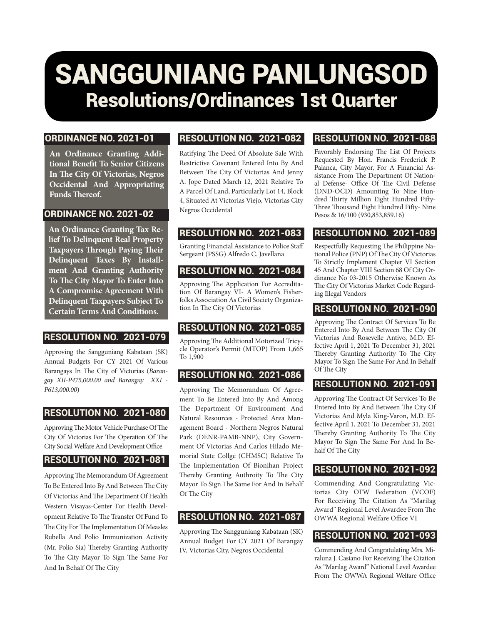# SANGGUNIANG PANLUNGSOD Resolutions/Ordinances 1st Quarter

#### ORDINANCE NO. 2021-01

**An Ordinance Granting Additional Benefit To Senior Citizens In The City Of Victorias, Negros Occidental And Appropriating Funds Thereof.**

#### ORDINANCE NO. 2021-02

**An Ordinance Granting Tax Relief To Delinquent Real Property Taxpayers Through Paying Their Delinquent Taxes By Installment And Granting Authority To The City Mayor To Enter Into A Compromise Agreement With Delinquent Taxpayers Subject To Certain Terms And Conditions.**

#### RESOLUTION NO. 2021-079

Approving the Sangguniang Kabataan (SK) Annual Budgets For CY 2021 Of Various Barangays In The City of Victorias (*Barangay XII-P475,000.00 and Barangay XXI - P613,000.00*)

#### RESOLUTION NO. 2021-080

Approving The Motor Vehicle Purchase Of The City Of Victorias For The Operation Of The City Social Welfare And Development Office

#### RESOLUTION NO. 2021-081

Approving The Memorandum Of Agreement To Be Entered Into By And Between The City Of Victorias And The Department Of Health Western Visayas-Center For Health Development Relative To The Transfer Of Fund To The City For The Implementation Of Measles Rubella And Polio Immunization Activity (Mr. Polio Sia) Thereby Granting Authority To The City Mayor To Sign The Same For And In Behalf Of The City

#### RESOLUTION NO. 2021-082

Ratifying The Deed Of Absolute Sale With Restrictive Covenant Entered Into By And Between The City Of Victorias And Jenny A. Jope Dated March 12, 2021 Relative To A Parcel Of Land, Particularly Lot 14, Block 4, Situated At Victorias Viejo, Victorias City Negros Occidental

#### RESOLUTION NO. 2021-083

Granting Financial Assistance to Police Staff Sergeant (PSSG) Alfredo C. Javellana

#### RESOLUTION NO. 2021-084

Approving The Application For Accreditation Of Barangay VI- A Women's Fisherfolks Association As Civil Society Organization In The City Of Victorias

## RESOLUTION NO. 2021-085

Approving The Additional Motorized Tricycle Operator's Permit (MTOP) From 1,665 To 1,900

#### RESOLUTION NO. 2021-086

Approving The Memorandum Of Agreement To Be Entered Into By And Among The Department Of Environment And Natural Resources - Protected Area Management Board - Northern Negros Natural Park (DENR-PAMB-NNP), City Government Of Victorias And Carlos Hilado Memorial State Collge (CHMSC) Relative To The Implementation Of Bionihan Project Thereby Granting Authroity To The City Mayor To Sign The Same For And In Behalf Of The City

#### RESOLUTION NO. 2021-087

Approving The Sangguniang Kabataan (SK) Annual Budget For CY 2021 Of Barangay IV, Victorias City, Negros Occidental

#### RESOLUTION NO. 2021-088

Favorably Endorsing The List Of Projects Requested By Hon. Francis Frederick P. Palanca, City Mayor, For A Financial Assistance From The Department Of National Defense- Office Of The Civil Defense (DND-OCD) Amounting To Nine Hundred Thirty Million Eight Hundred Fifty-Three Thousand Eight Hundred Fifty- Nine Pesos & 16/100 (930,853,859.16)

#### RESOLUTION NO. 2021-089

Respectfully Requesting The Philippine National Police (PNP) Of The City Of Victorias To Strictly Implement Chapter VI Section 45 And Chapter VIII Section 68 Of City Ordinance No 03-2015 Otherwise Known As The City Of Victorias Market Code Regarding Illegal Vendors

### RESOLUTION NO. 2021-090

Approving The Contract Of Services To Be Entered Into By And Between The City Of Victorias And Rosevelle Antivo, M.D. Effective April 1, 2021 To December 31, 2021 Thereby Granting Authority To The City Mayor To Sign The Same For And In Behalf Of The City

#### RESOLUTION NO. 2021-091

Approving The Contract Of Services To Be Entered Into By And Between The City Of Victorias And Myla King-Varon, M.D. Effective April 1, 2021 To December 31, 2021 Thereby Granting Authority To The City Mayor To Sign The Same For And In Behalf Of The City

#### RESOLUTION NO. 2021-092

Commending And Congratulating Victorias City OFW Federation (VCOF) For Receiving The Citation As "Marilag Award" Regional Level Awardee From The OWWA Regional Welfare Office VI

#### RESOLUTION NO. 2021-093

Commending And Congratulating Mrs. Miraluna J. Casiano For Receiving The Citation As "Marilag Award" National Level Awardee From The OWWA Regional Welfare Office